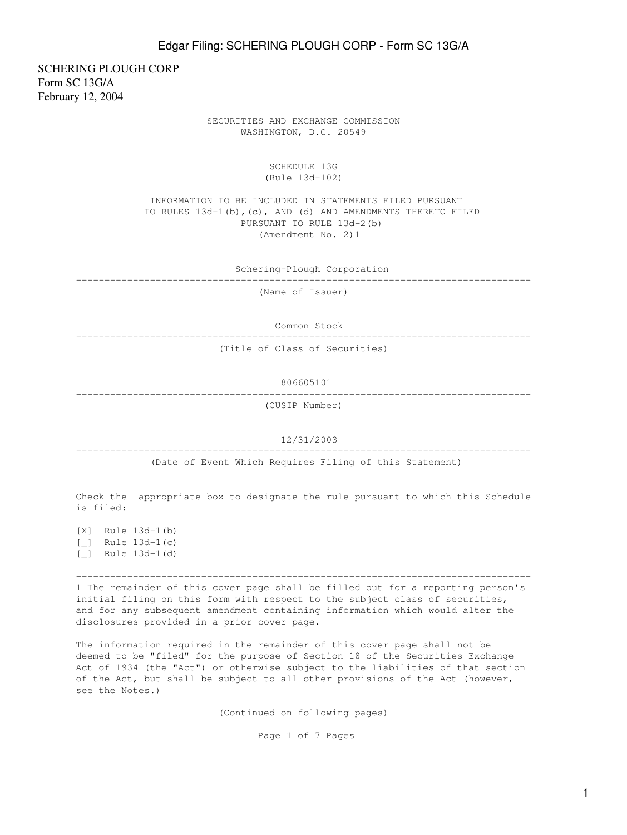SCHERING PLOUGH CORP Form SC 13G/A February 12, 2004

> SECURITIES AND EXCHANGE COMMISSION WASHINGTON, D.C. 20549

> > SCHEDULE 13G (Rule 13d-102)

 INFORMATION TO BE INCLUDED IN STATEMENTS FILED PURSUANT TO RULES 13d-1(b),(c), AND (d) AND AMENDMENTS THERETO FILED PURSUANT TO RULE 13d-2(b) (Amendment No. 2)1

Schering-Plough Corporation

--------------------------------------------------------------------------------

(Name of Issuer)

Common Stock

--------------------------------------------------------------------------------

(Title of Class of Securities)

 806605101 --------------------------------------------------------------------------------

(CUSIP Number)

12/31/2003

--------------------------------------------------------------------------------

(Date of Event Which Requires Filing of this Statement)

Check the appropriate box to designate the rule pursuant to which this Schedule is filed:

[X] Rule 13d-1(b) [\_] Rule 13d-1(c) [\_] Rule 13d-1(d)

--------------------------------------------------------------------------------

1 The remainder of this cover page shall be filled out for a reporting person's initial filing on this form with respect to the subject class of securities, and for any subsequent amendment containing information which would alter the disclosures provided in a prior cover page.

The information required in the remainder of this cover page shall not be deemed to be "filed" for the purpose of Section 18 of the Securities Exchange Act of 1934 (the "Act") or otherwise subject to the liabilities of that section of the Act, but shall be subject to all other provisions of the Act (however, see the Notes.)

(Continued on following pages)

Page 1 of 7 Pages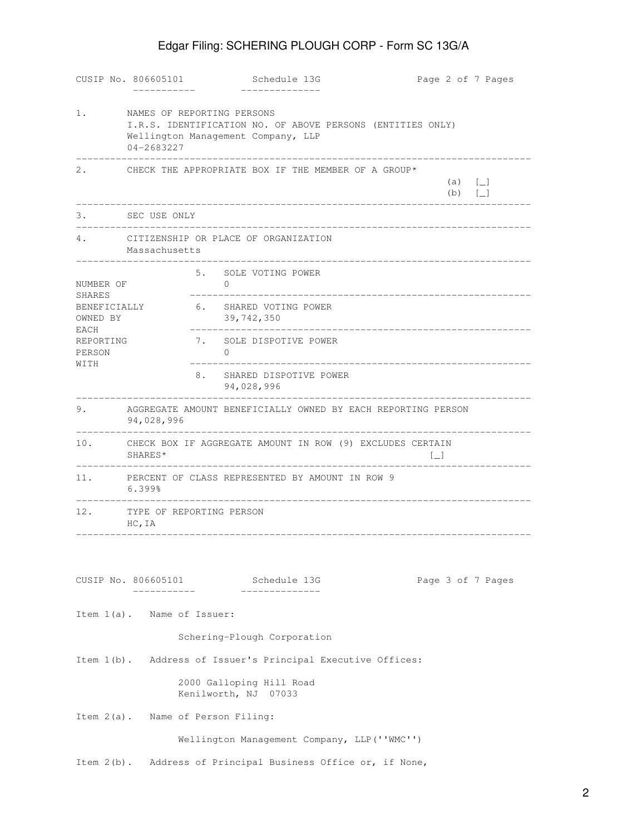# Edgar Filing: SCHERING PLOUGH CORP - Form SC 13G/A

|                                    | CUSIP No. 806605101                                                                                                                          |                      | Schedule 13G                                                 | Page 2 of 7 Pages                 |  |  |
|------------------------------------|----------------------------------------------------------------------------------------------------------------------------------------------|----------------------|--------------------------------------------------------------|-----------------------------------|--|--|
| 1.                                 | NAMES OF REPORTING PERSONS<br>I.R.S. IDENTIFICATION NO. OF ABOVE PERSONS (ENTITIES ONLY)<br>Wellington Management Company, LLP<br>04-2683227 |                      |                                                              |                                   |  |  |
| 2.                                 |                                                                                                                                              |                      | CHECK THE APPROPRIATE BOX IF THE MEMBER OF A GROUP*          | (a) $[-]$<br>(b) $[-]$            |  |  |
| 3.                                 | SEC USE ONLY                                                                                                                                 |                      |                                                              |                                   |  |  |
| 4.                                 | CITIZENSHIP OR PLACE OF ORGANIZATION<br>Massachusetts                                                                                        |                      |                                                              |                                   |  |  |
| NUMBER OF                          |                                                                                                                                              | $\Omega$             | 5. SOLE VOTING POWER                                         |                                   |  |  |
| SHARES<br>BENEFICIALLY<br>OWNED BY |                                                                                                                                              |                      | 6. SHARED VOTING POWER<br>39,742,350                         | . _ _ _ _ _ _ _ _ _ _ _ _ _ _ _ _ |  |  |
| EACH<br><b>REPORTING</b><br>PERSON |                                                                                                                                              | $\Omega$             | 7. SOLE DISPOTIVE POWER                                      |                                   |  |  |
| WITH                               |                                                                                                                                              | 8.                   | SHARED DISPOTIVE POWER<br>94,028,996                         |                                   |  |  |
| 9.                                 | 94,028,996                                                                                                                                   |                      | AGGREGATE AMOUNT BENEFICIALLY OWNED BY EACH REPORTING PERSON |                                   |  |  |
| 10.                                | SHARES*                                                                                                                                      |                      | CHECK BOX IF AGGREGATE AMOUNT IN ROW (9) EXCLUDES CERTAIN    | $\Box$                            |  |  |
| 11.                                | PERCENT OF CLASS REPRESENTED BY AMOUNT IN ROW 9<br>6.399%                                                                                    |                      |                                                              |                                   |  |  |
| 12.                                | TYPE OF REPORTING PERSON<br>HC, IA                                                                                                           |                      |                                                              |                                   |  |  |
|                                    |                                                                                                                                              |                      |                                                              |                                   |  |  |
|                                    | . _ _ _ _ _ _ _ _ _                                                                                                                          |                      | CUSIP No. 806605101 Schedule 13G                             | Page 3 of 7 Pages                 |  |  |
|                                    | Item 1(a). Name of Issuer:                                                                                                                   |                      |                                                              |                                   |  |  |
|                                    |                                                                                                                                              |                      | Schering-Plough Corporation                                  |                                   |  |  |
|                                    |                                                                                                                                              |                      | Item 1(b). Address of Issuer's Principal Executive Offices:  |                                   |  |  |
|                                    |                                                                                                                                              | Kenilworth, NJ 07033 | 2000 Galloping Hill Road                                     |                                   |  |  |
|                                    | Item 2(a). Name of Person Filing:                                                                                                            |                      |                                                              |                                   |  |  |
|                                    |                                                                                                                                              |                      | Wellington Management Company, LLP (''WMC'')                 |                                   |  |  |
| Item $2(b)$ .                      |                                                                                                                                              |                      | Address of Principal Business Office or, if None,            |                                   |  |  |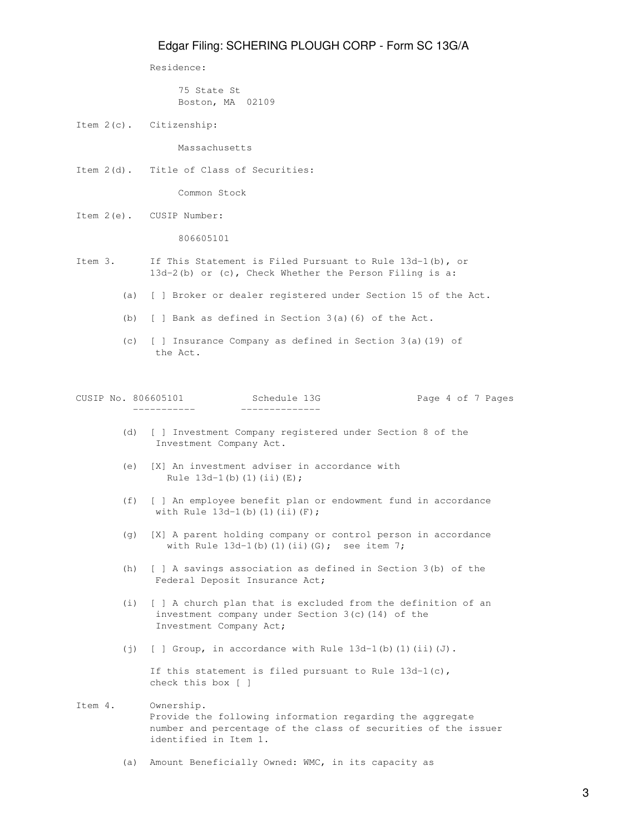Residence:

 75 State St Boston, MA 02109

Item 2(c). Citizenship:

Massachusetts

Item 2(d). Title of Class of Securities:

Common Stock

Item 2(e). CUSIP Number:

806605101

- Item 3. If This Statement is Filed Pursuant to Rule 13d-1(b), or 13d-2(b) or (c), Check Whether the Person Filing is a:
	- (a) [ ] Broker or dealer registered under Section 15 of the Act.
	- (b) [ ] Bank as defined in Section 3(a)(6) of the Act.
	- (c) [ ] Insurance Company as defined in Section 3(a)(19) of the Act.

|  | _ _ _ _ _ _ _ _ _ _ _ | ------------- |  |  |                   |
|--|-----------------------|---------------|--|--|-------------------|
|  | CUSIP No. 806605101   | Schedule 13G  |  |  | Page 4 of 7 Pages |

- (d) [ ] Investment Company registered under Section 8 of the Investment Company Act.
- (e) [X] An investment adviser in accordance with Rule  $13d-1(b)$  (1)(ii)(E);
- (f) [ ] An employee benefit plan or endowment fund in accordance with Rule  $13d-1$ (b)(1)(ii)(F);
- (g) [X] A parent holding company or control person in accordance with Rule  $13d-1$ (b)(1)(ii)(G); see item 7;
- (h) [ ] A savings association as defined in Section 3(b) of the Federal Deposit Insurance Act;
- (i) [ ] A church plan that is excluded from the definition of an investment company under Section 3(c)(14) of the Investment Company Act;
- (j)  $[ ]$  Group, in accordance with Rule 13d-1(b)(1)(ii)(J).

 If this statement is filed pursuant to Rule 13d-1(c), check this box [ ]

## Item 4. Ownership. Provide the following information regarding the aggregate number and percentage of the class of securities of the issuer identified in Item 1.

(a) Amount Beneficially Owned: WMC, in its capacity as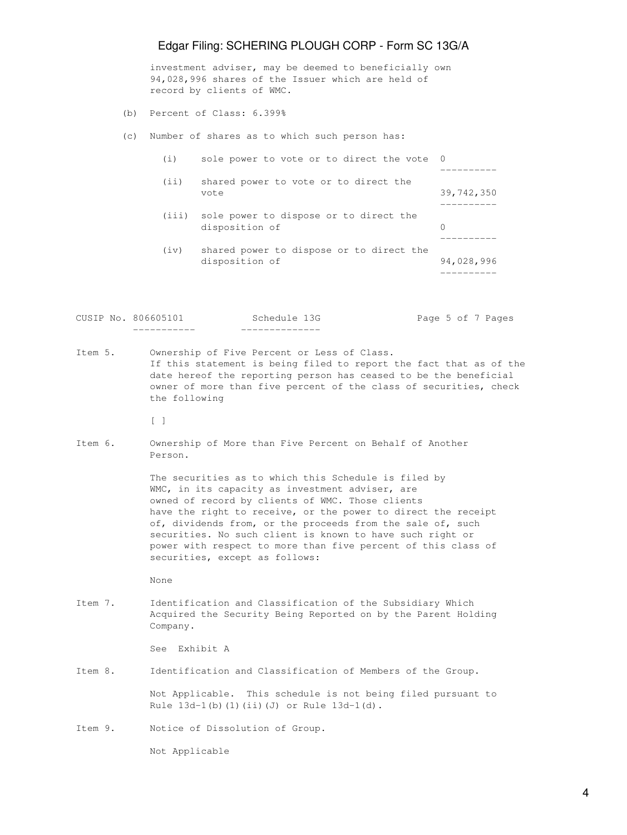# Edgar Filing: SCHERING PLOUGH CORP - Form SC 13G/A

 investment adviser, may be deemed to beneficially own 94,028,996 shares of the Issuer which are held of record by clients of WMC.

- (b) Percent of Class: 6.399%
- (c) Number of shares as to which such person has:

| (i)  | sole power to vote or to direct the vote 0                     |            |
|------|----------------------------------------------------------------|------------|
|      |                                                                |            |
| (i)  | shared power to vote or to direct the<br>vote                  | 39,742,350 |
|      | (iii) sole power to dispose or to direct the<br>disposition of | $\Omega$   |
| (iv) | shared power to dispose or to direct the<br>disposition of     | 94,028,996 |

CUSIP No. 806605101 Schedule 13G Page 5 of 7 Pages ----------- --------------

Item 5. Ownership of Five Percent or Less of Class. If this statement is being filed to report the fact that as of the date hereof the reporting person has ceased to be the beneficial owner of more than five percent of the class of securities, check the following

[ ]

Item 6. Ownership of More than Five Percent on Behalf of Another Person.

> The securities as to which this Schedule is filed by WMC, in its capacity as investment adviser, are owned of record by clients of WMC. Those clients have the right to receive, or the power to direct the receipt of, dividends from, or the proceeds from the sale of, such securities. No such client is known to have such right or power with respect to more than five percent of this class of securities, except as follows:

None

Item 7. Identification and Classification of the Subsidiary Which Acquired the Security Being Reported on by the Parent Holding Company.

See Exhibit A

Item 8. Identification and Classification of Members of the Group.

 Not Applicable. This schedule is not being filed pursuant to Rule 13d-1(b)(1)(ii)(J) or Rule 13d-1(d).

Item 9. Notice of Dissolution of Group.

Not Applicable